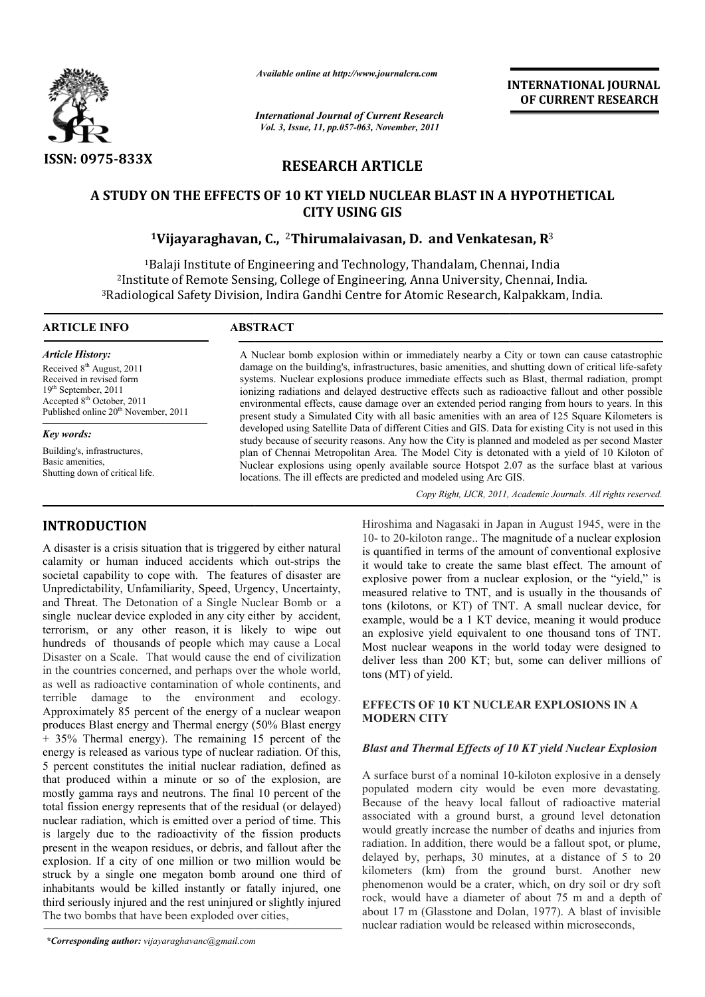

*Available online at http://www.journalcra.com*

*International Journal of Current Research Vol. 3, Issue, 11, pp.057-063, November, 2011*

**INTERNATIONAL INTERNATIONAL JOURNAL OF CURRENT RESEARCH** 

# **RESEARCH ARTICLE**

# **A STUDY ON THE EFFECTS OF 10 KT YIELD NUCLEAR BLAST IN A HYPOTHETICAL CITY USING GIS**

# **1Vijayaraghavan Vijayaraghavan, C.,** <sup>2</sup>**Thirumalaivasan, D. and Venkatesan**

1Balaji Institute of Engineering and Technology, Thandalam, Chennai, India 2Institute of Remote Sensing, College of Engineering, Anna University, Chennai, India. 3Radiological Safety Division, Indira Gandhi Centre for Atomic Research, Kalpakkam, India. Institute Engineering, Anna India.Centre for Atomic Research, India.

# **ARTICLE INFO ABSTRACT**

*Article History:* Received 8<sup>th</sup> August, 2011 Received in revised form 19th September, 2011 Accepted 8th October, 2011 Published online 20<sup>th</sup> November, 2011

*Key words:*

Building's, infrastructures, Basic amenities, Shutting down of critical life.

# **INTRODUCTION**

A disaster is a crisis situation that is triggered by either natural calamity or human induced accidents which out-strips the societal capability to cope with. The features of disaster are Unpredictability, Unfamiliarity, Speed, Urgency, Uncertainty, Unpredictability, Unfamiliarity, Speed, Urgency, Uncertainty, and Threat. The Detonation of a Single Nuclear Bomb or a single nuclear device exploded in any city either by accident, terrorism, or any other reason, it is likely to wipe out hundreds of thousands of people which may cause a Local Disaster on a Scale. That would cause the end of civilization in the countries concerned, and perhaps over the whole world, as well as radioactive contamination of whole continents, and terrible damage to the environment and ecology. Approximately 85 percent of the energy of a nuclear weapon produces Blast energy and Thermal energy (50% Blast energy + 35% Thermal energy). The remaining 15 percent of the energy is released as various type of nuclear radiation. Of this, 5 percent constitutes the initial nuclear radiation, defined as that produced within a minute or so of the explosion, are mostly gamma rays and neutrons. The final 10 percent of the total fission energy represents that of the residual (or delayed) nuclear radiation, which is emitted over a period of time. This is largely due to the radioactivity of the fission products present in the weapon residues, or debris, and fallout after the explosion. If a city of one million or two million would be struck by a single one megaton bomb around one third of inhabitants would be killed instantly or fatally injured, one third seriously injured and the rest uninjured or slightly injured The two bombs that have been exploded over cities, **TION**<br> **IFON**<br>
IFOSNIM IMPOSIME IN Threshima and Nagasaki in Japan in August 1945, were in the<br>
tristis situation that is triggered by either natural<br>
III is quantified in terms of the amount of conventional explosive<br>
h **A STUDY ON THE EFFECTS OF 10 KT WELD NUCLEAR BLAST IN A HYPOT<br>
<b>CITY USINO GISS**<br> **CITY USINO GISS**<br> **CITY USINO GISS**<br> **CITY USINO GISS**<br> **CITY USINO GISS**<br> **CITY USINO GISS**<br> **CITY USINO GISS**<br> **CITY INSTRACT TRADIMIGI** 

A Nuclear bomb explosion within or immediately nearby a City or town can cause catastrophic damage on the building's, infrastructures, basic amenities, and shutting down of critical life-safety systems. Nuclear explosions produce immediate effects such as Blast, thermal radiation, prompt ionizing radiations and delayed destructive effects such as radioactive fallout and other possible environmental effects, cause damage over an extended period ranging from hours to years. In this present study a Simulated City with all basic amenities with an area of 125 Square Kilometers is developed using Satellite Data of different Cities and GIS. Data for existing City is not used in this study because of security reasons. Any how the City is planned and modeled as per second Master plan of Chennai Metropolitan Area. The Model City is detonated with a yield of 10 Kiloton of Nuclear explosions using openly available source Hotspot 2.07 as the surface blast at various locations. The ill effects are predicted and modeled using Arc GIS. systems. Nuclear explosions produce immediate effects such as Blast, thermal radiation, prompt<br>ionizing radiations and delayed destructive effects such as radioactive fallout and other possible<br>environmental effects, cause

Copy Right, IJCR, 2011, Academic Journals. All rights reserved.

10- to 20-kiloton range.. The magnitude of a nuclear explosion is quantified in terms of the amount of conventional explosive it would take to create the same blast effect. The amount of explosive power from a nuclear explosion, or the "yield," is measured relative to TNT, and is usually in the thousands of tons (kilotons, or KT) of TNT. A small nuclear device, for example, would be a 1 KT device, meaning it would produce an explosive yield equivalent to one thousand tons of TNT. Most nuclear weapons in the world today were designed to deliver less than 200 KT; but, some can deliver millions of 200 KT; tons (MT) of yield. Iroshima and Nagasaki in Japan in August 1945, were in the<br>I- to 20-kiloton range.. The magnitude of a nuclear explosion<br>quantified in terms of the amount of conventional explosive<br>would take to create the same blast effec is (kilotons, or KT) of TNT. A small nuclear device, for mple, would be a 1 KT device, meaning it would produce explosive yield equivalent to one thousand tons of TNT. St nuclear weapons in the world today were designed to

# **EFFECTS OF 10 KT NUCLEAR EXPLOSION EFFECTS OF 10 KT NUCLEAR EXPLOSIONS IN A MODERN CITY**

# *Blast and Thermal Effects of 10 KT yield Nuclear Explosion Nuclear Explosion*

A surface burst of a nominal 10 10-kiloton explosive in a densely populated modern city would be even more devastating. Because of the heavy local fallout of radioactive material associated with a ground burst, a ground level detonation would greatly increase the number of deaths and injuries from radiation. In addition, there would be a fallout spot, or plume, delayed by, perhaps, 30 minutes, at a distance of 5 to 20 kilometers (km) from the ground burst. Another new phenomenon would be a crater, which, on dry soil or dry soft rock, would have a diameter of about 75 m and a depth of about 17 m (Glasstone and Dolan, 1977). A blast of invisible nuclear radiation would be released within microseconds, nuclear radiation would be released within microseconds, populated modern city would be even more devastating.<br>Because of the heavy local fallout of radioactive material<br>associated with a ground burst, a ground level detonation<br>would greatly increase the number of deaths and inj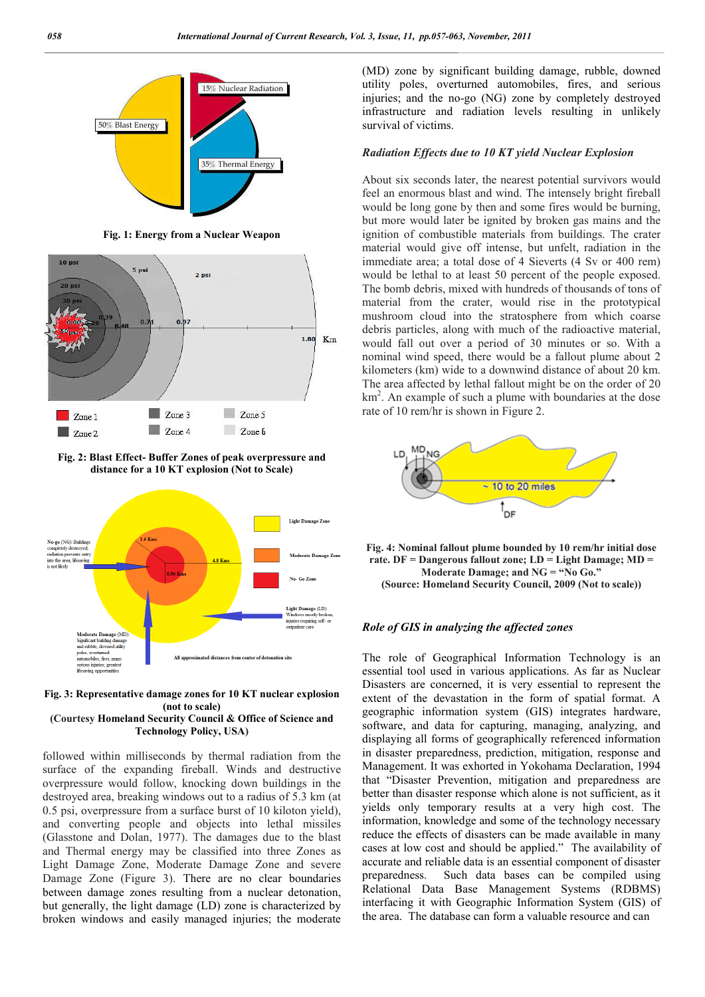

**Fig. 1: Energy from a Nuclear Weapon**



**Fig. 2: Blast Effect- Buffer Zones of peak overpressure and distance for a 10 KT explosion (Not to Scale)**



**Fig. 3: Representative damage zones for 10 KT nuclear explosion (not to scale) (Courtesy Homeland Security Council & Office of Science and Technology Policy, USA)**

followed within milliseconds by thermal radiation from the surface of the expanding fireball. Winds and destructive overpressure would follow, knocking down buildings in the destroyed area, breaking windows out to a radius of 5.3 km (at 0.5 psi, overpressure from a surface burst of 10 kiloton yield), and converting people and objects into lethal missiles (Glasstone and Dolan, 1977). The damages due to the blast and Thermal energy may be classified into three Zones as Light Damage Zone, Moderate Damage Zone and severe Damage Zone (Figure 3). There are no clear boundaries between damage zones resulting from a nuclear detonation, but generally, the light damage (LD) zone is characterized by broken windows and easily managed injuries; the moderate

(MD) zone by significant building damage, rubble, downed utility poles, overturned automobiles, fires, and serious injuries; and the no-go (NG) zone by completely destroyed infrastructure and radiation levels resulting in unlikely survival of victims.

### *Radiation Effects due to 10 KT yield Nuclear Explosion*

About six seconds later, the nearest potential survivors would feel an enormous blast and wind. The intensely bright fireball would be long gone by then and some fires would be burning, but more would later be ignited by broken gas mains and the ignition of combustible materials from buildings. The crater material would give off intense, but unfelt, radiation in the immediate area; a total dose of 4 Sieverts (4 Sv or 400 rem) would be lethal to at least 50 percent of the people exposed. The bomb debris, mixed with hundreds of thousands of tons of material from the crater, would rise in the prototypical mushroom cloud into the stratosphere from which coarse debris particles, along with much of the radioactive material, would fall out over a period of 30 minutes or so. With a nominal wind speed, there would be a fallout plume about 2 kilometers (km) wide to a downwind distance of about 20 km. The area affected by lethal fallout might be on the order of 20 km<sup>2</sup>. An example of such a plume with boundaries at the dose rate of 10 rem/hr is shown in Figure 2.



**Fig. 4: Nominal fallout plume bounded by 10 rem/hr initial dose rate. DF = Dangerous fallout zone; LD = Light Damage; MD = Moderate Damage; and NG = "No Go." (Source: Homeland Security Council, 2009 (Not to scale))**

### *Role of GIS in analyzing the affected zones*

The role of Geographical Information Technology is an essential tool used in various applications. As far as Nuclear Disasters are concerned, it is very essential to represent the extent of the devastation in the form of spatial format. A geographic information system (GIS) integrates hardware, software, and data for capturing, managing, analyzing, and displaying all forms of geographically referenced information in disaster preparedness, prediction, mitigation, response and Management. It was exhorted in Yokohama Declaration, 1994 that "Disaster Prevention, mitigation and preparedness are better than disaster response which alone is not sufficient, as it yields only temporary results at a very high cost. The information, knowledge and some of the technology necessary reduce the effects of disasters can be made available in many cases at low cost and should be applied." The availability of accurate and reliable data is an essential component of disaster preparedness. Such data bases can be compiled using Relational Data Base Management Systems (RDBMS) interfacing it with Geographic Information System (GIS) of the area. The database can form a valuable resource and can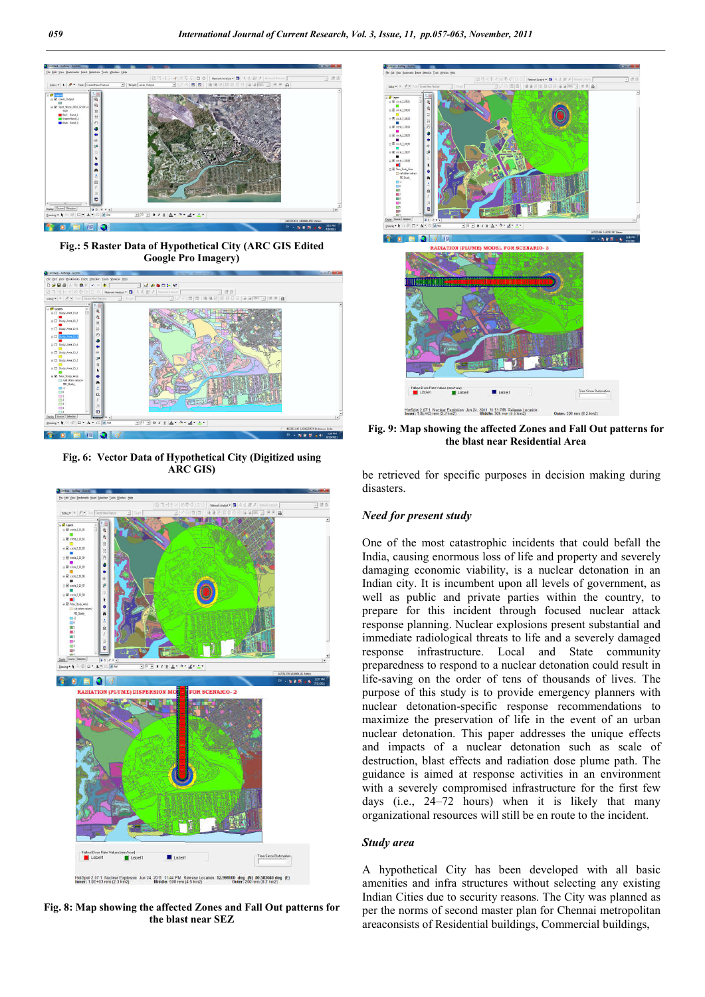

**Fig.: 5 Raster Data of Hypothetical City (ARC GIS Edited Google Pro Imagery)**



**Fig. 6: Vector Data of Hypothetical City (Digitized using ARC GIS)**



**Fig. 8: Map showing the affected Zones and Fall Out patterns for the blast near SEZ**



**Fig. 9: Map showing the affected Zones and Fall Out patterns for the blast near Residential Area**

be retrieved for specific purposes in decision making during disasters.

## *Need for present study*

One of the most catastrophic incidents that could befall the India, causing enormous loss of life and property and severely damaging economic viability, is a nuclear detonation in an Indian city. It is incumbent upon all levels of government, as well as public and private parties within the country, to prepare for this incident through focused nuclear attack response planning. Nuclear explosions present substantial and immediate radiological threats to life and a severely damaged response infrastructure. Local and State community preparedness to respond to a nuclear detonation could result in life-saving on the order of tens of thousands of lives. The purpose of this study is to provide emergency planners with nuclear detonation-specific response recommendations to maximize the preservation of life in the event of an urban nuclear detonation. This paper addresses the unique effects and impacts of a nuclear detonation such as scale of destruction, blast effects and radiation dose plume path. The guidance is aimed at response activities in an environment with a severely compromised infrastructure for the first few days (i.e., 24–72 hours) when it is likely that many organizational resources will still be en route to the incident.

#### *Study area*

A hypothetical City has been developed with all basic amenities and infra structures without selecting any existing Indian Cities due to security reasons. The City was planned as per the norms of second master plan for Chennai metropolitan areaconsists of Residential buildings, Commercial buildings,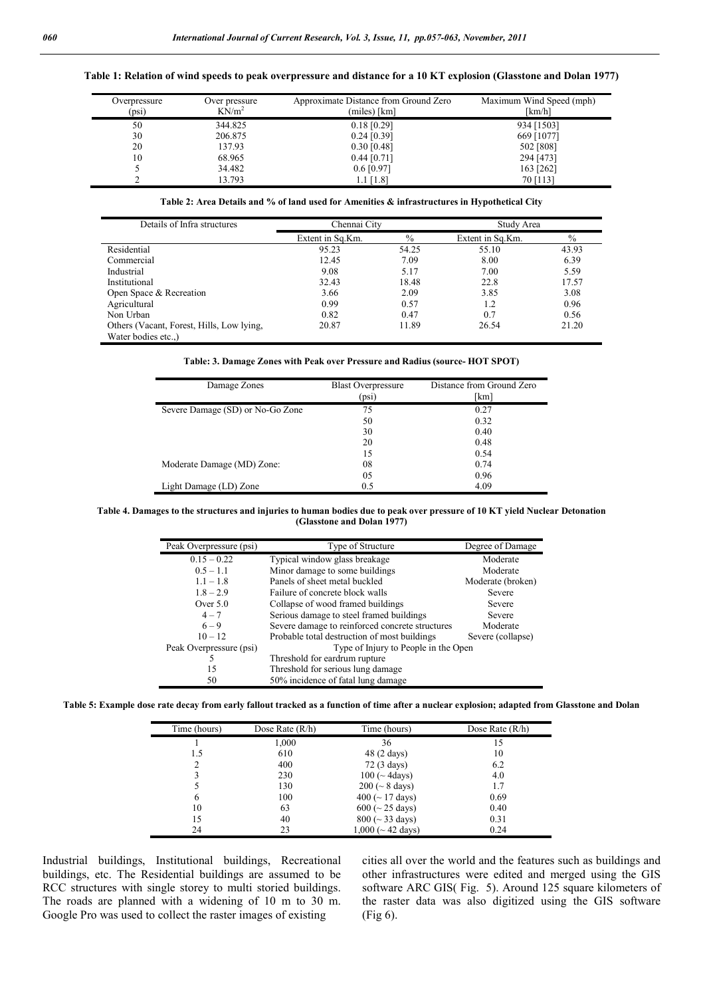|  | Table 1: Relation of wind speeds to peak overpressure and distance for a 10 KT explosion (Glasstone and Dolan 1977) |  |
|--|---------------------------------------------------------------------------------------------------------------------|--|
|--|---------------------------------------------------------------------------------------------------------------------|--|

| Overpressure<br>(psi) | Over pressure<br>$KN/m^2$ | Approximate Distance from Ground Zero<br>(miles) [km] | Maximum Wind Speed (mph)<br>[km/h] |
|-----------------------|---------------------------|-------------------------------------------------------|------------------------------------|
| 50                    | 344.825                   | $0.18$ [0.29]                                         | 934 [1503]                         |
| 30                    | 206.875                   | $0.24$ [0.39]                                         | 669 [1077]                         |
| 20                    | 137.93                    | $0.30$ [0.48]                                         | 502 [808]                          |
| 10                    | 68.965                    | $0.44$ [0.71]                                         | 294 [473]                          |
|                       | 34.482                    | $0.6\,[0.97]$                                         | 163 [262]                          |
|                       | 13.793                    | $1.1$ [1.8]                                           | 70 [113]                           |

**Table 2: Area Details and % of land used for Amenities & infrastructures in Hypothetical City**

| Details of Infra structures               | Chennai City     |               | Study Area       |               |  |  |
|-------------------------------------------|------------------|---------------|------------------|---------------|--|--|
|                                           | Extent in Sq.Km. | $\frac{0}{0}$ | Extent in Sq.Km. | $\frac{0}{0}$ |  |  |
| Residential                               | 95.23            | 54.25         | 55.10            | 43.93         |  |  |
| Commercial                                | 12.45            | 7.09          | 8.00             | 6.39          |  |  |
| Industrial                                | 9.08             | 5.17          | 7.00             | 5.59          |  |  |
| Institutional                             | 32.43            | 18.48         | 22.8             | 17.57         |  |  |
| Open Space & Recreation                   | 3.66             | 2.09          | 3.85             | 3.08          |  |  |
| Agricultural                              | 0.99             | 0.57          | 1.2              | 0.96          |  |  |
| Non Urban                                 | 0.82             | 0.47          | 0.7              | 0.56          |  |  |
| Others (Vacant, Forest, Hills, Low lying, | 20.87            | 11.89         | 26.54            | 21.20         |  |  |
| Water bodies etc)                         |                  |               |                  |               |  |  |

#### **Table: 3. Damage Zones with Peak over Pressure and Radius (source- HOT SPOT)**

| Damage Zones                     | <b>Blast Overpressure</b><br>(psi) | Distance from Ground Zero<br>[km] |
|----------------------------------|------------------------------------|-----------------------------------|
| Severe Damage (SD) or No-Go Zone | 75                                 | 0.27                              |
|                                  | 50                                 | 0.32                              |
|                                  | 30                                 | 0.40                              |
|                                  | 20                                 | 0.48                              |
|                                  | 15                                 | 0.54                              |
| Moderate Damage (MD) Zone:       | 08                                 | 0.74                              |
|                                  | 05                                 | 0.96                              |
| Light Damage (LD) Zone           | 0.5                                | 4.09                              |

#### **Table 4. Damages to the structures and injuries to human bodies due to peak over pressure of 10 KT yield Nuclear Detonation (Glasstone and Dolan 1977)**

| Peak Overpressure (psi)<br>Type of Structure<br>Degree of Damage<br>$0.15 - 0.22$<br>Typical window glass breakage<br>Moderate<br>Minor damage to some buildings<br>$0.5 - 1.1$<br>Moderate<br>Panels of sheet metal buckled<br>$1.1 - 1.8$<br>Moderate (broken) |  |
|------------------------------------------------------------------------------------------------------------------------------------------------------------------------------------------------------------------------------------------------------------------|--|
|                                                                                                                                                                                                                                                                  |  |
|                                                                                                                                                                                                                                                                  |  |
|                                                                                                                                                                                                                                                                  |  |
|                                                                                                                                                                                                                                                                  |  |
| $1.8 - 2.9$<br>Failure of concrete block walls<br>Severe                                                                                                                                                                                                         |  |
| Over $5.0$<br>Collapse of wood framed buildings<br>Severe                                                                                                                                                                                                        |  |
| Serious damage to steel framed buildings<br>$4 - 7$<br>Severe                                                                                                                                                                                                    |  |
| $6 - 9$<br>Severe damage to reinforced concrete structures<br>Moderate                                                                                                                                                                                           |  |
| $10 - 12$<br>Probable total destruction of most buildings<br>Severe (collapse)                                                                                                                                                                                   |  |
| Type of Injury to People in the Open<br>Peak Overpressure (psi)                                                                                                                                                                                                  |  |
| Threshold for eardrum rupture                                                                                                                                                                                                                                    |  |
| 15<br>Threshold for serious lung damage                                                                                                                                                                                                                          |  |
| 50% incidence of fatal lung damage<br>50                                                                                                                                                                                                                         |  |

**Table 5: Example dose rate decay from early fallout tracked as a function of time after a nuclear explosion; adapted from Glasstone and Dolan**

| Time (hours) | Dose Rate $(R/h)$ | Time (hours)                              | Dose Rate $(R/h)$ |
|--------------|-------------------|-------------------------------------------|-------------------|
|              | 1,000             | 36                                        | 15                |
| 1.5          | 610               | 48 (2 days)                               | 10                |
| າ            | 400               | 72 (3 days)                               | 6.2               |
| 3            | 230               | $100$ ( $\sim$ 4days)                     | 4.0               |
|              | 130               | $200 \, (8 \, days)$                      | 1.7               |
| 6            | 100               | $400 \left( \sim 17 \text{ days} \right)$ | 0.69              |
| 10           | 63                | $600 \, (25 \, days)$                     | 0.40              |
| 15           | 40                | $800 (~ 33 \text{ days})$                 | 0.31              |
| 24           | 23                | $1,000$ ( $\sim$ 42 days)                 | 0.24              |

Industrial buildings, Institutional buildings, Recreational buildings, etc. The Residential buildings are assumed to be RCC structures with single storey to multi storied buildings. The roads are planned with a widening of 10 m to 30 m. Google Pro was used to collect the raster images of existing

cities all over the world and the features such as buildings and other infrastructures were edited and merged using the GIS software ARC GIS( Fig. 5). Around 125 square kilometers of the raster data was also digitized using the GIS software (Fig 6).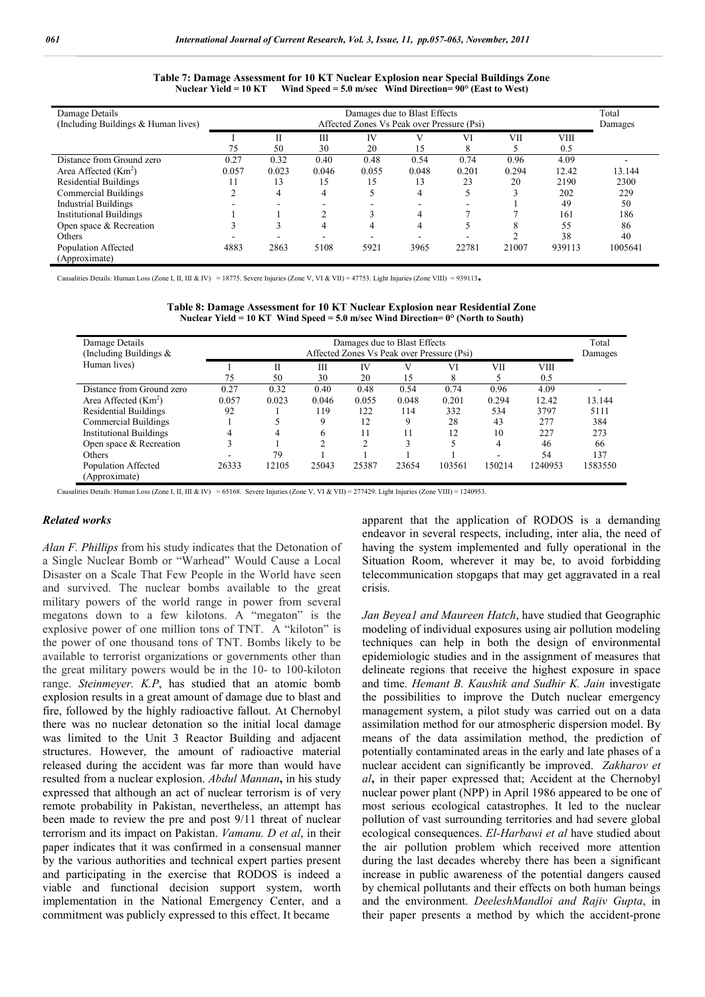| Damage Details<br>(Including Buildings & Human lives) | Damages due to Blast Effects<br>Affected Zones Vs Peak over Pressure (Psi) |       |       |       | Total<br>Damages |       |       |             |         |
|-------------------------------------------------------|----------------------------------------------------------------------------|-------|-------|-------|------------------|-------|-------|-------------|---------|
|                                                       |                                                                            |       | Ш     | IV    | V                | VI    | VII   | <b>VIII</b> |         |
|                                                       | 75                                                                         | 50    | 30    | 20    | 15               | 8     |       | 0.5         |         |
| Distance from Ground zero                             | 0.27                                                                       | 0.32  | 0.40  | 0.48  | 0.54             | 0.74  | 0.96  | 4.09        |         |
| Area Affected $(Km2)$                                 | 0.057                                                                      | 0.023 | 0.046 | 0.055 | 0.048            | 0.201 | 0.294 | 12.42       | 13.144  |
| <b>Residential Buildings</b>                          | 11                                                                         | 13    | 15    | 15    | 13               | 23    | 20    | 2190        | 2300    |
| Commercial Buildings                                  | ◠                                                                          | 4     | 4     |       | 4                |       |       | 202         | 229     |
| <b>Industrial Buildings</b>                           |                                                                            |       |       |       |                  |       |       | 49          | 50      |
| <b>Institutional Buildings</b>                        |                                                                            |       |       |       | 4                |       |       | 161         | 186     |
| Open space & Recreation                               |                                                                            |       | 4     |       | 4                |       | ◠     | 55          | 86      |
| Others                                                |                                                                            |       |       |       |                  |       |       | 38          | 40      |
| Population Affected<br>(Approximate)                  | 4883                                                                       | 2863  | 5108  | 5921  | 3965             | 22781 | 21007 | 939113      | 1005641 |

#### **Table 7: Damage Assessment for 10 KT Nuclear Explosion near Special Buildings Zone Nuclear Yield = 10 KT Wind Speed = 5.0 m/sec Wind Direction= 90° (East to West)**

Causalities Details: Human Loss (Zone I, II, III & IV) = 18775. Severe Injuries (Zone V, VI & VII) = 47753. Light Injuries (Zone VIII) = 939113**.** 

| Damage Details                 |       |       |       |       | Damages due to Blast Effects |                                            |        |         | Total   |
|--------------------------------|-------|-------|-------|-------|------------------------------|--------------------------------------------|--------|---------|---------|
| (Including Buildings $&$       |       |       |       |       |                              | Affected Zones Vs Peak over Pressure (Psi) |        |         | Damages |
| Human lives)                   |       | П     | Ш     | IV    | V                            | VI                                         | VII    | VIII    |         |
|                                | 75    | 50    | 30    | 20    | 15                           | 8                                          |        | 0.5     |         |
| Distance from Ground zero      | 0.27  | 0.32  | 0.40  | 0.48  | 0.54                         | 0.74                                       | 0.96   | 4.09    |         |
| Area Affected $(Km2)$          | 0.057 | 0.023 | 0.046 | 0.055 | 0.048                        | 0.201                                      | 0.294  | 12.42   | 13.144  |
| <b>Residential Buildings</b>   | 92    |       | 119   | 122   | 114                          | 332                                        | 534    | 3797    | 5111    |
| Commercial Buildings           |       |       | 9     | 12    | 9                            | 28                                         | 43     | 277     | 384     |
| <b>Institutional Buildings</b> | 4     | 4     | h     |       |                              | 12                                         | 10     | 227     | 273     |
| Open space $&$ Recreation      |       |       |       |       | 3                            |                                            | 4      | 46      | 66      |
| <b>Others</b>                  |       | 79    |       |       |                              |                                            |        | 54      | 137     |
| Population Affected            | 26333 | 12105 | 25043 | 25387 | 23654                        | 103561                                     | 150214 | 1240953 | 1583550 |
| (Approximate)                  |       |       |       |       |                              |                                            |        |         |         |

**Table 8: Damage Assessment for 10 KT Nuclear Explosion near Residential Zone Nuclear Yield = 10 KT Wind Speed = 5.0 m/sec Wind Direction= 0° (North to South)**

Causalities Details: Human Loss (Zone I, II, III & IV) = 65168. Severe Injuries (Zone V, VI & VII) = 277429. Light Injuries (Zone VIII) = 1240953.

### *Related works*

*Alan F. Phillips* from his study indicates that the Detonation of a Single Nuclear Bomb or "Warhead" Would Cause a Local Disaster on a Scale That Few People in the World have seen and survived. The nuclear bombs available to the great military powers of the world range in power from several megatons down to a few kilotons. A "megaton" is the explosive power of one million tons of TNT. A "kiloton" is the power of one thousand tons of TNT. Bombs likely to be available to terrorist organizations or governments other than the great military powers would be in the 10- to 100-kiloton range. *Steinmeyer. K.P*, has studied that an atomic bomb explosion results in a great amount of damage due to blast and fire, followed by the highly radioactive fallout. At Chernobyl there was no nuclear detonation so the initial local damage was limited to the Unit 3 Reactor Building and adjacent structures. However, the amount of radioactive material released during the accident was far more than would have resulted from a nuclear explosion. *Abdul Mannan***,** in his study expressed that although an act of nuclear terrorism is of very remote probability in Pakistan, nevertheless, an attempt has been made to review the pre and post 9/11 threat of nuclear terrorism and its impact on Pakistan. *Vamanu. D et al*, in their paper indicates that it was confirmed in a consensual manner by the various authorities and technical expert parties present and participating in the exercise that RODOS is indeed a viable and functional decision support system, worth implementation in the National Emergency Center, and a commitment was publicly expressed to this effect. It became

apparent that the application of RODOS is a demanding endeavor in several respects, including, inter alia, the need of having the system implemented and fully operational in the Situation Room, wherever it may be, to avoid forbidding telecommunication stopgaps that may get aggravated in a real crisis.

*Jan Beyea1 and Maureen Hatch*, have studied that Geographic modeling of individual exposures using air pollution modeling techniques can help in both the design of environmental epidemiologic studies and in the assignment of measures that delineate regions that receive the highest exposure in space and time. *Hemant B. Kaushik and Sudhir K. Jain* investigate the possibilities to improve the Dutch nuclear emergency management system, a pilot study was carried out on a data assimilation method for our atmospheric dispersion model. By means of the data assimilation method, the prediction of potentially contaminated areas in the early and late phases of a nuclear accident can significantly be improved. *Zakharov et al***,** in their paper expressed that; Accident at the Chernobyl nuclear power plant (NPP) in April 1986 appeared to be one of most serious ecological catastrophes. It led to the nuclear pollution of vast surrounding territories and had severe global ecological consequences. *El-Harbawi et al* have studied about the air pollution problem which received more attention during the last decades whereby there has been a significant increase in public awareness of the potential dangers caused by chemical pollutants and their effects on both human beings and the environment. *DeeleshMandloi and Rajiv Gupta*, in their paper presents a method by which the accident-prone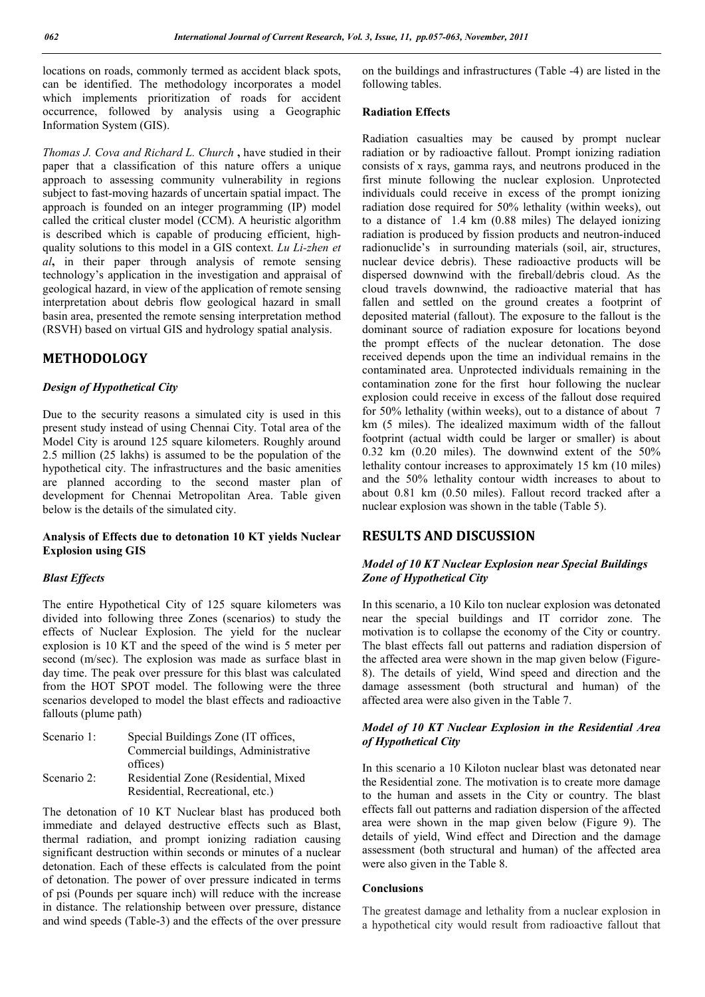locations on roads, commonly termed as accident black spots, can be identified. The methodology incorporates a model which implements prioritization of roads for accident occurrence, followed by analysis using a Geographic Information System (GIS).

*Thomas J. Cova and Richard L. Church* **,** have studied in their paper that a classification of this nature offers a unique approach to assessing community vulnerability in regions subject to fast-moving hazards of uncertain spatial impact. The approach is founded on an integer programming (IP) model called the critical cluster model (CCM). A heuristic algorithm is described which is capable of producing efficient, highquality solutions to this model in a GIS context. *Lu Li-zhen et al***,** in their paper through analysis of remote sensing technology's application in the investigation and appraisal of geological hazard, in view of the application of remote sensing interpretation about debris flow geological hazard in small basin area, presented the remote sensing interpretation method (RSVH) based on virtual GIS and hydrology spatial analysis.

# **METHODOLOGY**

### *Design of Hypothetical City*

Due to the security reasons a simulated city is used in this present study instead of using Chennai City. Total area of the Model City is around 125 square kilometers. Roughly around 2.5 million (25 lakhs) is assumed to be the population of the hypothetical city. The infrastructures and the basic amenities are planned according to the second master plan of development for Chennai Metropolitan Area. Table given below is the details of the simulated city.

# **Analysis of Effects due to detonation 10 KT yields Nuclear Explosion using GIS**

# *Blast Effects*

The entire Hypothetical City of 125 square kilometers was divided into following three Zones (scenarios) to study the effects of Nuclear Explosion. The yield for the nuclear explosion is 10 KT and the speed of the wind is 5 meter per second (m/sec). The explosion was made as surface blast in day time. The peak over pressure for this blast was calculated from the HOT SPOT model. The following were the three scenarios developed to model the blast effects and radioactive fallouts (plume path)

| Scenario 1: | Special Buildings Zone (IT offices,  |
|-------------|--------------------------------------|
|             | Commercial buildings, Administrative |
|             | offices)                             |
| Scenario 2: | Residential Zone (Residential, Mixed |
|             | Residential, Recreational, etc.)     |

The detonation of 10 KT Nuclear blast has produced both immediate and delayed destructive effects such as Blast, thermal radiation, and prompt ionizing radiation causing significant destruction within seconds or minutes of a nuclear detonation. Each of these effects is calculated from the point of detonation. The power of over pressure indicated in terms of psi (Pounds per square inch) will reduce with the increase in distance. The relationship between over pressure, distance and wind speeds (Table-3) and the effects of the over pressure

on the buildings and infrastructures (Table -4) are listed in the following tables.

# **Radiation Effects**

Radiation casualties may be caused by prompt nuclear radiation or by radioactive fallout. Prompt ionizing radiation consists of x rays, gamma rays, and neutrons produced in the first minute following the nuclear explosion. Unprotected individuals could receive in excess of the prompt ionizing radiation dose required for 50% lethality (within weeks), out to a distance of 1.4 km (0.88 miles) The delayed ionizing radiation is produced by fission products and neutron-induced radionuclide's in surrounding materials (soil, air, structures, nuclear device debris). These radioactive products will be dispersed downwind with the fireball/debris cloud. As the cloud travels downwind, the radioactive material that has fallen and settled on the ground creates a footprint of deposited material (fallout). The exposure to the fallout is the dominant source of radiation exposure for locations beyond the prompt effects of the nuclear detonation. The dose received depends upon the time an individual remains in the contaminated area. Unprotected individuals remaining in the contamination zone for the first hour following the nuclear explosion could receive in excess of the fallout dose required for 50% lethality (within weeks), out to a distance of about 7 km (5 miles). The idealized maximum width of the fallout footprint (actual width could be larger or smaller) is about 0.32 km (0.20 miles). The downwind extent of the 50% lethality contour increases to approximately 15 km (10 miles) and the 50% lethality contour width increases to about to about 0.81 km (0.50 miles). Fallout record tracked after a nuclear explosion was shown in the table (Table 5).

# **RESULTS AND DISCUSSION**

# *Model of 10 KT Nuclear Explosion near Special Buildings Zone of Hypothetical City*

In this scenario, a 10 Kilo ton nuclear explosion was detonated near the special buildings and IT corridor zone. The motivation is to collapse the economy of the City or country. The blast effects fall out patterns and radiation dispersion of the affected area were shown in the map given below (Figure-8). The details of yield, Wind speed and direction and the damage assessment (both structural and human) of the affected area were also given in the Table 7.

# *Model of 10 KT Nuclear Explosion in the Residential Area of Hypothetical City*

In this scenario a 10 Kiloton nuclear blast was detonated near the Residential zone. The motivation is to create more damage to the human and assets in the City or country. The blast effects fall out patterns and radiation dispersion of the affected area were shown in the map given below (Figure 9). The details of yield, Wind effect and Direction and the damage assessment (both structural and human) of the affected area were also given in the Table 8.

### **Conclusions**

The greatest damage and lethality from a nuclear explosion in a hypothetical city would result from radioactive fallout that